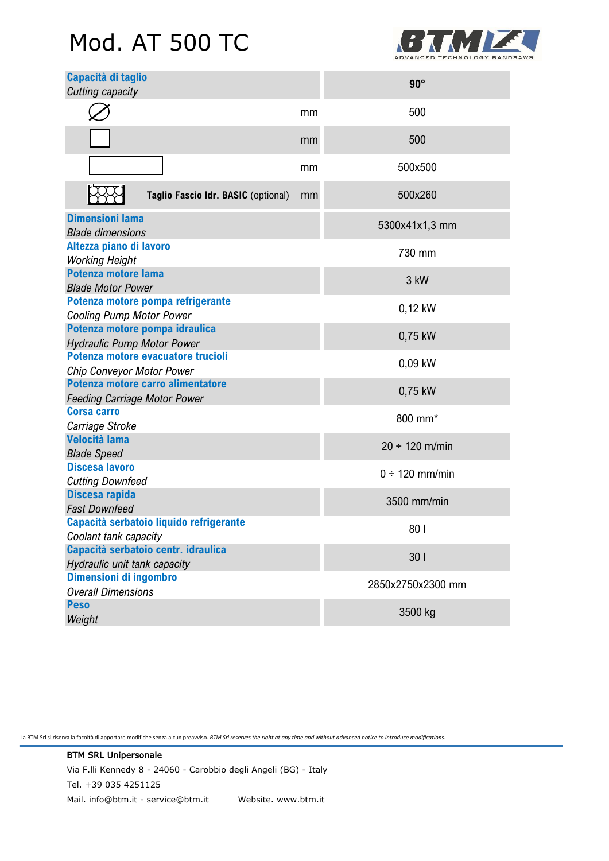# Mod. AT 500 TC



| Capacità di taglio<br>Cutting capacity                                   |    | $90^\circ$          |
|--------------------------------------------------------------------------|----|---------------------|
|                                                                          | mm | 500                 |
|                                                                          | mm | 500                 |
|                                                                          | mm | 500x500             |
| Taglio Fascio Idr. BASIC (optional)                                      | mm | 500x260             |
| <b>Dimensioni lama</b><br><b>Blade dimensions</b>                        |    | 5300x41x1,3 mm      |
| Altezza piano di lavoro<br><b>Working Height</b>                         |    | 730 mm              |
| Potenza motore lama<br><b>Blade Motor Power</b>                          |    | 3 kW                |
| Potenza motore pompa refrigerante<br><b>Cooling Pump Motor Power</b>     |    | 0,12 kW             |
| Potenza motore pompa idraulica<br><b>Hydraulic Pump Motor Power</b>      |    | 0,75 kW             |
| Potenza motore evacuatore trucioli<br>Chip Conveyor Motor Power          |    | 0,09 kW             |
| Potenza motore carro alimentatore<br><b>Feeding Carriage Motor Power</b> |    | 0,75 kW             |
| <b>Corsa carro</b><br>Carriage Stroke                                    |    | 800 mm*             |
| <b>Velocità lama</b><br><b>Blade Speed</b>                               |    | $20 \div 120$ m/min |
| Discesa lavoro<br><b>Cutting Downfeed</b>                                |    | $0 \div 120$ mm/min |
| Discesa rapida<br><b>Fast Downfeed</b>                                   |    | 3500 mm/min         |
| Capacità serbatoio liquido refrigerante<br>Coolant tank capacity         |    | 801                 |
| Capacità serbatoio centr. idraulica<br>Hydraulic unit tank capacity      |    | 301                 |
| Dimensioni di ingombro<br><b>Overall Dimensions</b>                      |    | 2850x2750x2300 mm   |
| <b>Peso</b><br>Weight                                                    |    | 3500 kg             |

La BTM Srl si riserva la facoltà di apportare modifiche senza alcun preavviso. *BTM Srl reserves the right at any time and without advanced notice to introduce modifications.*

BTM SRL Unipersonale Via F.lli Kennedy 8 - 24060 - Carobbio degli Angeli (BG) - Italy Tel. +39 035 4251125 Mail. info@btm.it - service@btm.it Website. www.btm.it